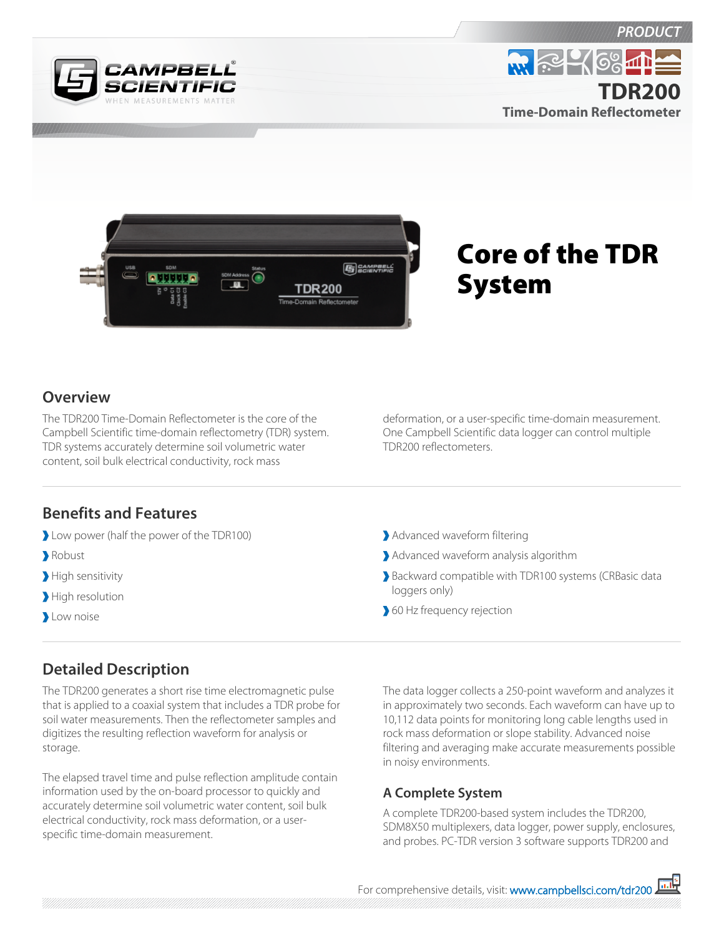







# Core of the TDR System

#### **Overview**

The TDR200 Time-Domain Reflectometer is the core of the Campbell Scientific time-domain reflectometry (TDR) system. TDR systems accurately determine soil volumetric water content, soil bulk electrical conductivity, rock mass

deformation, or a user-specific time-domain measurement. One Campbell Scientific data logger can control multiple TDR200 reflectometers.

#### **Benefits and Features**

- Low power (half the power of the TDR100)
- Robust
- High sensitivity
- High resolution
- **Low noise**
- Advanced waveform filtering
- Advanced waveform analysis algorithm
- Backward compatible with TDR100 systems (CRBasic data loggers only)
- 60 Hz frequency rejection

## **Detailed Description**

The TDR200 generates a short rise time electromagnetic pulse that is applied to a coaxial system that includes a TDR probe for soil water measurements. Then the reflectometer samples and digitizes the resulting reflection waveform for analysis or storage.

The elapsed travel time and pulse reflection amplitude contain information used by the on-board processor to quickly and accurately determine soil volumetric water content, soil bulk electrical conductivity, rock mass deformation, or a userspecific time-domain measurement.

The data logger collects a 250-point waveform and analyzes it in approximately two seconds. Each waveform can have up to 10,112 data points for monitoring long cable lengths used in rock mass deformation or slope stability. Advanced noise filtering and averaging make accurate measurements possible in noisy environments.

### **A Complete System**

A complete TDR200-based system includes the TDR200, SDM8X50 multiplexers, data logger, power supply, enclosures, and probes. PC-TDR version 3 software supports TDR200 and